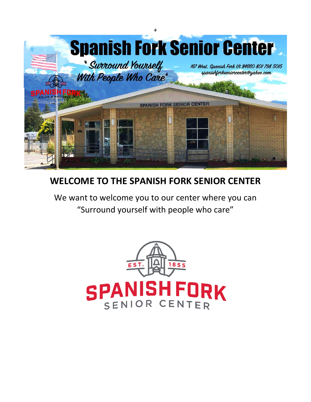

# **WELCOME TO THE SPANISH FORK SENIOR CENTER**

We want to welcome you to our center where you can "Surround yourself with people who care"

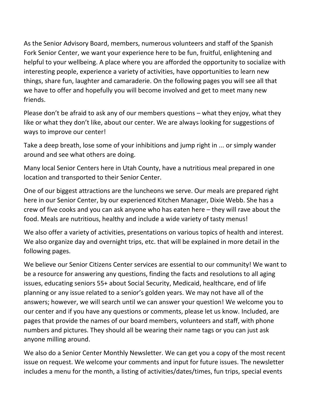As the Senior Advisory Board, members, numerous volunteers and staff of the Spanish Fork Senior Center, we want your experience here to be fun, fruitful, enlightening and helpful to your wellbeing. A place where you are afforded the opportunity to socialize with interesting people, experience a variety of activities, have opportunities to learn new things, share fun, laughter and camaraderie. On the following pages you will see all that we have to offer and hopefully you will become involved and get to meet many new friends.

Please don't be afraid to ask any of our members questions – what they enjoy, what they like or what they don't like, about our center. We are always looking for suggestions of ways to improve our center!

Take a deep breath, lose some of your inhibitions and jump right in ... or simply wander around and see what others are doing.

Many local Senior Centers here in Utah County, have a nutritious meal prepared in one location and transported to their Senior Center.

One of our biggest attractions are the luncheons we serve. Our meals are prepared right here in our Senior Center, by our experienced Kitchen Manager, Dixie Webb. She has a crew of five cooks and you can ask anyone who has eaten here – they will rave about the food. Meals are nutritious, healthy and include a wide variety of tasty menus!

We also offer a variety of activities, presentations on various topics of health and interest. We also organize day and overnight trips, etc. that will be explained in more detail in the following pages.

We believe our Senior Citizens Center services are essential to our community! We want to be a resource for answering any questions, finding the facts and resolutions to all aging issues, educating seniors 55+ about Social Security, Medicaid, healthcare, end of life planning or any issue related to a senior's golden years. We may not have all of the answers; however, we will search until we can answer your question! We welcome you to our center and if you have any questions or comments, please let us know. Included, are pages that provide the names of our board members, volunteers and staff, with phone numbers and pictures. They should all be wearing their name tags or you can just ask anyone milling around.

We also do a Senior Center Monthly Newsletter. We can get you a copy of the most recent issue on request. We welcome your comments and input for future issues. The newsletter includes a menu for the month, a listing of activities/dates/times, fun trips, special events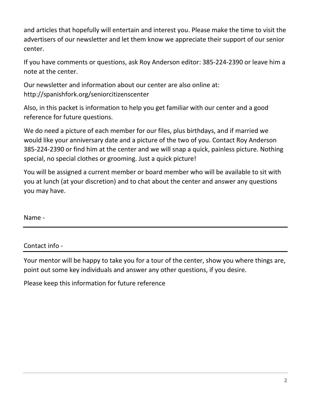and articles that hopefully will entertain and interest you. Please make the time to visit the advertisers of our newsletter and let them know we appreciate their support of our senior center.

If you have comments or questions, ask Roy Anderson editor: 385-224-2390 or leave him a note at the center.

Our newsletter and information about our center are also online at: http://spanishfork.org/seniorcitizenscenter

Also, in this packet is information to help you get familiar with our center and a good reference for future questions.

We do need a picture of each member for our files, plus birthdays, and if married we would like your anniversary date and a picture of the two of you. Contact Roy Anderson 385-224-2390 or find him at the center and we will snap a quick, painless picture. Nothing special, no special clothes or grooming. Just a quick picture!

You will be assigned a current member or board member who will be available to sit with you at lunch (at your discretion) and to chat about the center and answer any questions you may have.

Name -

#### Contact info -

Your mentor will be happy to take you for a tour of the center, show you where things are, point out some key individuals and answer any other questions, if you desire.

Please keep this information for future reference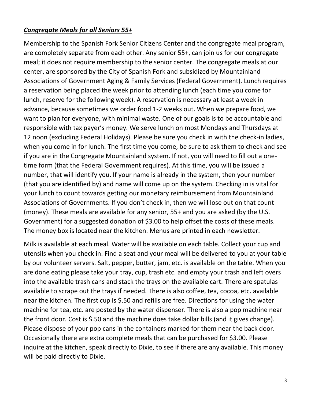#### *Congregate Meals for all Seniors 55+*

Membership to the Spanish Fork Senior Citizens Center and the congregate meal program, are completely separate from each other. Any senior 55+, can join us for our congregate meal; it does not require membership to the senior center. The congregate meals at our center, are sponsored by the City of Spanish Fork and subsidized by Mountainland Associations of Government Aging & Family Services (Federal Government). Lunch requires a reservation being placed the week prior to attending lunch (each time you come for lunch, reserve for the following week). A reservation is necessary at least a week in advance, because sometimes we order food 1-2 weeks out. When we prepare food, we want to plan for everyone, with minimal waste. One of our goals is to be accountable and responsible with tax payer's money. We serve lunch on most Mondays and Thursdays at 12 noon (excluding Federal Holidays). Please be sure you check in with the check-in ladies, when you come in for lunch. The first time you come, be sure to ask them to check and see if you are in the Congregate Mountainland system. If not, you will need to fill out a onetime form (that the Federal Government requires). At this time, you will be issued a number, that will identify you. If your name is already in the system, then your number (that you are identified by) and name will come up on the system. Checking in is vital for your lunch to count towards getting our monetary reimbursement from Mountainland Associations of Governments. If you don't check in, then we will lose out on that count (money). These meals are available for any senior, 55+ and you are asked (by the U.S. Government) for a suggested donation of \$3.00 to help offset the costs of these meals. The money box is located near the kitchen. Menus are printed in each newsletter.

Milk is available at each meal. Water will be available on each table. Collect your cup and utensils when you check in. Find a seat and your meal will be delivered to you at your table by our volunteer servers. Salt, pepper, butter, jam, etc. is available on the table. When you are done eating please take your tray, cup, trash etc. and empty your trash and left overs into the available trash cans and stack the trays on the available cart. There are spatulas available to scrape out the trays if needed. There is also coffee, tea, cocoa, etc. available near the kitchen. The first cup is \$.50 and refills are free. Directions for using the water machine for tea, etc. are posted by the water dispenser. There is also a pop machine near the front door. Cost is \$.50 and the machine does take dollar bills (and it gives change). Please dispose of your pop cans in the containers marked for them near the back door. Occasionally there are extra complete meals that can be purchased for \$3.00. Please inquire at the kitchen, speak directly to Dixie, to see if there are any available. This money will be paid directly to Dixie.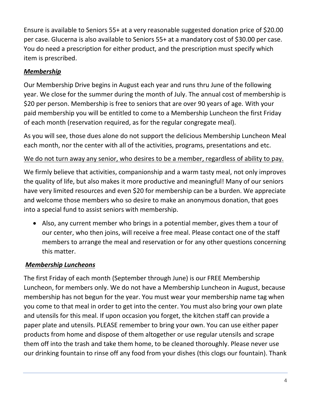Ensure is available to Seniors 55+ at a very reasonable suggested donation price of \$20.00 per case. Glucerna is also available to Seniors 55+ at a mandatory cost of \$30.00 per case. You do need a prescription for either product, and the prescription must specify which item is prescribed.

# *Membership*

Our Membership Drive begins in August each year and runs thru June of the following year. We close for the summer during the month of July. The annual cost of membership is \$20 per person. Membership is free to seniors that are over 90 years of age. With your paid membership you will be entitled to come to a Membership Luncheon the first Friday of each month (reservation required, as for the regular congregate meal).

As you will see, those dues alone do not support the delicious Membership Luncheon Meal each month, nor the center with all of the activities, programs, presentations and etc.

## We do not turn away any senior, who desires to be a member, regardless of ability to pay.

We firmly believe that activities, companionship and a warm tasty meal, not only improves the quality of life, but also makes it more productive and meaningful! Many of our seniors have very limited resources and even \$20 for membership can be a burden. We appreciate and welcome those members who so desire to make an anonymous donation, that goes into a special fund to assist seniors with membership.

• Also, any current member who brings in a potential member, gives them a tour of our center, who then joins, will receive a free meal. Please contact one of the staff members to arrange the meal and reservation or for any other questions concerning this matter.

#### *Membership Luncheons*

The first Friday of each month (September through June) is our FREE Membership Luncheon, for members only. We do not have a Membership Luncheon in August, because membership has not begun for the year. You must wear your membership name tag when you come to that meal in order to get into the center. You must also bring your own plate and utensils for this meal. If upon occasion you forget, the kitchen staff can provide a paper plate and utensils. PLEASE remember to bring your own. You can use either paper products from home and dispose of them altogether or use regular utensils and scrape them off into the trash and take them home, to be cleaned thoroughly. Please never use our drinking fountain to rinse off any food from your dishes (this clogs our fountain). Thank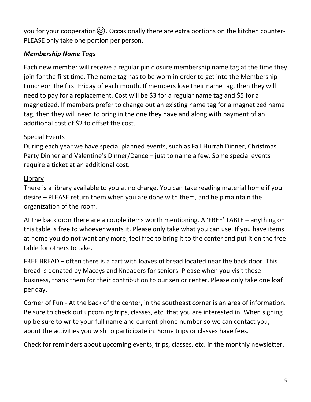you for your cooperation $\circled{)}$ . Occasionally there are extra portions on the kitchen counter-PLEASE only take one portion per person.

# *Membership Name Tags*

Each new member will receive a regular pin closure membership name tag at the time they join for the first time. The name tag has to be worn in order to get into the Membership Luncheon the first Friday of each month. If members lose their name tag, then they will need to pay for a replacement. Cost will be \$3 for a regular name tag and \$5 for a magnetized. If members prefer to change out an existing name tag for a magnetized name tag, then they will need to bring in the one they have and along with payment of an additional cost of \$2 to offset the cost.

## Special Events

During each year we have special planned events, such as Fall Hurrah Dinner, Christmas Party Dinner and Valentine's Dinner/Dance – just to name a few. Some special events require a ticket at an additional cost.

## Library

There is a library available to you at no charge. You can take reading material home if you desire – PLEASE return them when you are done with them, and help maintain the organization of the room.

At the back door there are a couple items worth mentioning. A 'FREE' TABLE – anything on this table is free to whoever wants it. Please only take what you can use. If you have items at home you do not want any more, feel free to bring it to the center and put it on the free table for others to take.

FREE BREAD – often there is a cart with loaves of bread located near the back door. This bread is donated by Maceys and Kneaders for seniors. Please when you visit these business, thank them for their contribution to our senior center. Please only take one loaf per day.

Corner of Fun - At the back of the center, in the southeast corner is an area of information. Be sure to check out upcoming trips, classes, etc. that you are interested in. When signing up be sure to write your full name and current phone number so we can contact you, about the activities you wish to participate in. Some trips or classes have fees.

Check for reminders about upcoming events, trips, classes, etc. in the monthly newsletter.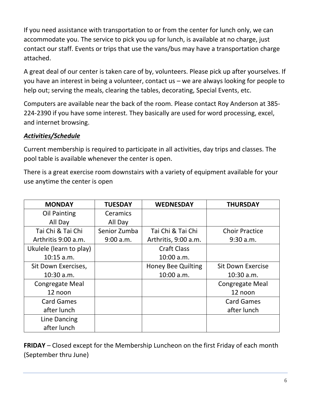If you need assistance with transportation to or from the center for lunch only, we can accommodate you. The service to pick you up for lunch, is available at no charge, just contact our staff. Events or trips that use the vans/bus may have a transportation charge attached.

A great deal of our center is taken care of by, volunteers. Please pick up after yourselves. If you have an interest in being a volunteer, contact us – we are always looking for people to help out; serving the meals, clearing the tables, decorating, Special Events, etc.

Computers are available near the back of the room. Please contact Roy Anderson at 385- 224-2390 if you have some interest. They basically are used for word processing, excel, and internet browsing.

# *Activities/Schedule*

Current membership is required to participate in all activities, day trips and classes. The pool table is available whenever the center is open.

There is a great exercise room downstairs with a variety of equipment available for your use anytime the center is open

| <b>MONDAY</b>           | <b>TUESDAY</b>  | <b>WEDNESDAY</b>          | <b>THURSDAY</b>          |
|-------------------------|-----------------|---------------------------|--------------------------|
| Oil Painting            | <b>Ceramics</b> |                           |                          |
| All Day                 | All Day         |                           |                          |
| Tai Chi & Tai Chi       | Senior Zumba    | Tai Chi & Tai Chi         | <b>Choir Practice</b>    |
| Arthritis 9:00 a.m.     | 9:00 a.m.       | Arthritis, 9:00 a.m.      | 9:30 a.m.                |
| Ukulele (learn to play) |                 | <b>Craft Class</b>        |                          |
| $10:15$ a.m.            |                 | 10:00 a.m.                |                          |
| Sit Down Exercises,     |                 | <b>Honey Bee Quilting</b> | <b>Sit Down Exercise</b> |
| $10:30$ a.m.            |                 | 10:00 a.m.                | $10:30$ a.m.             |
| <b>Congregate Meal</b>  |                 |                           | <b>Congregate Meal</b>   |
| 12 noon                 |                 |                           | 12 noon                  |
| <b>Card Games</b>       |                 |                           | <b>Card Games</b>        |
| after lunch             |                 |                           | after lunch              |
| Line Dancing            |                 |                           |                          |
| after lunch             |                 |                           |                          |

**FRIDAY** – Closed except for the Membership Luncheon on the first Friday of each month (September thru June)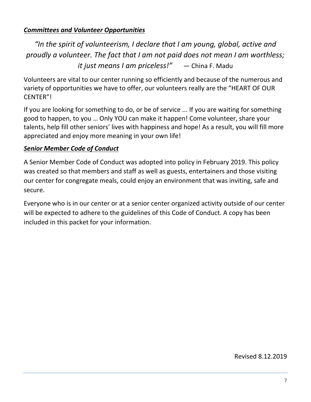## *Committees and Volunteer Opportunities*

*"In the spirit of volunteerism, I declare that I am young, global, active and proudly a volunteer. The fact that I am not paid does not mean I am worthless; it just means I am priceless!"* — China F. Madu

Volunteers are vital to our center running so efficiently and because of the numerous and variety of opportunities we have to offer, our volunteers really are the "HEART OF OUR CENTER"!

If you are looking for something to do, or be of service ... If you are waiting for something good to happen, to you … Only YOU can make it happen! Come volunteer, share your talents, help fill other seniors' lives with happiness and hope! As a result, you will fill more appreciated and enjoy more meaning in your own life!

## *Senior Member Code of Conduct*

A Senior Member Code of Conduct was adopted into policy in February 2019. This policy was created so that members and staff as well as guests, entertainers and those visiting our center for congregate meals, could enjoy an environment that was inviting, safe and secure.

Everyone who is in our center or at a senior center organized activity outside of our center will be expected to adhere to the guidelines of this Code of Conduct. A copy has been included in this packet for your information.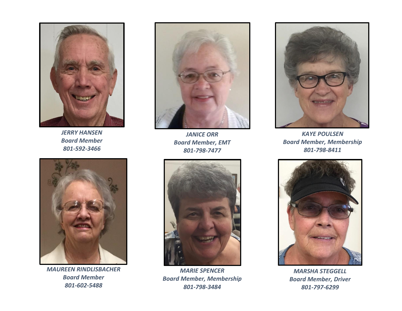

*JERRY HANSEN Board Member 801-592-3466*



*MAUREEN RINDLISBACHER Board Member 801-602-5488*



*JANICE ORR Board Member, EMT 801-798-7477*



*MARIE SPENCER Board Member, Membership 801-798-3484*



*KAYE POULSEN Board Member, Membership 801-798-8411*



*MARSHA STEGGELL Board Member, Driver 801-797-6299*